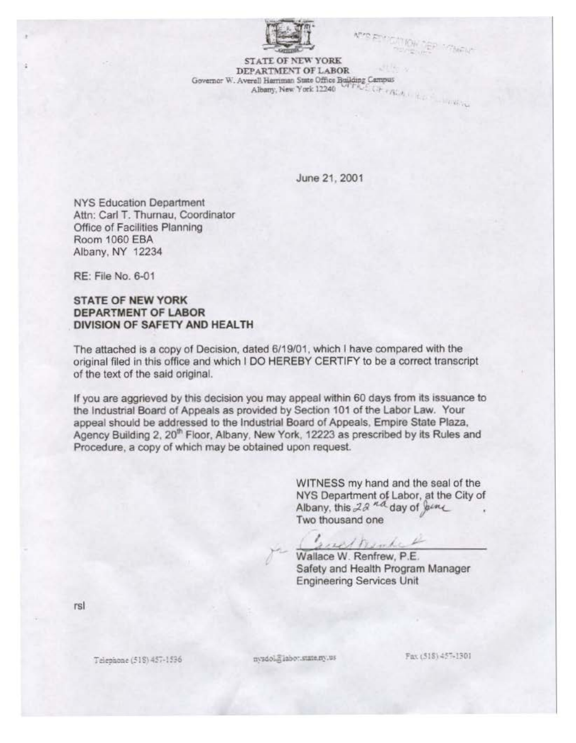

. .

**UNICYL** 

STATE OF NEW YORK<br>DEPARTMENT OF LABOR DEPARTMENT OF LABOR<br>Governor W. Averell Herriman State Office Building Campus Albany, New York  $12240$  of FAUL (Fig. ),

June 21, 2001

NYS Education Department Attn: Carl T. Thumau, Coordinator Office of Facilities Planning **Room 1060 EBA** Albany, NY 12234

RE: File No. 6-01

## STATE OF NEW YORK DEPARTMENT OF LABOR DIVISION OF SAFETY AND HEALTH

The attached is a copy of Decision, dated 6/19/01 , which I have compared with the original filed in this office and which I DO HEREBY CERTIFY to be a correct transcript of the text of the said original.

If you are aggrieved by this decision you may appeal within 60 days from its issuance to the Industrial Board of Appeals as provided by Section 101 of the Labor Law. Your appeal should be addressed to the Industrial Board of Appeals, Empire State Plaza, Agency Building 2, 20<sup>th</sup> Floor, Albany, New York, 12223 as prescribed by its Rules and Procedure, a copy of which may be obtained upon request.

> WITNESS my hand and the seal of the NYS Department of Labor, at the City of Albany, this  $2a^{nd}$  day of  $\int e^{in}$ Two thousand one

such nember

Wallace W. Renfrew, P.E. Safety and Health Program Manager Engineering Services Unit

rsl

Telephone (518) 457-1536

nysdol@iabor.state.ny.us

Fax (518) 457-1301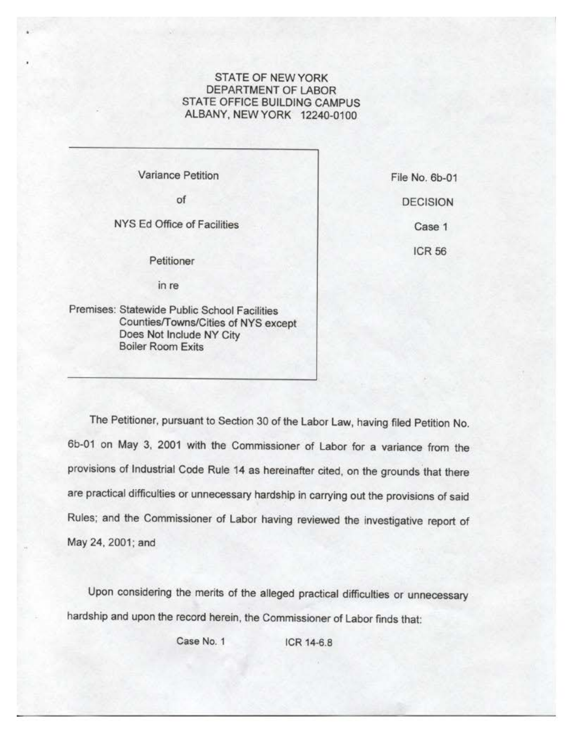## STATE OF NEW YORK DEPARTMENT OF LABOR STATE OFFICE BUILDING CAMPUS ALBANY, NEW YORK 12240-0100

Variance Petition

of

NYS Ed Office of Facilities

Petitioner

in re

Premises: Statewide Public School Facilities Counties/Towns/Cities of NYS except Does Not Include NY City Boiler Room Exits

File No. 6b-01 DECISION Case 1 **ICR56** 

The Petitioner, pursuant to Section 30 of the Labor Law, having filed Petition No. 6b-01 on May 3, 2001 with the Commissioner of Labor for a variance from the provisions of Industrial Code Rule 14 as hereinafter cited, on the grounds that there are practical difficulties or unnecessary hardship in carrying out the provisions of said Rules; and the Commissioner of Labor having reviewed the investigative report of May 24, 2001; and

Upon considering the merits of the alleged practical difficulties or unnecessary hardship and upon the record herein, the Commissioner of Labor finds that:

Case No. 1 **ICR 14-6.8**